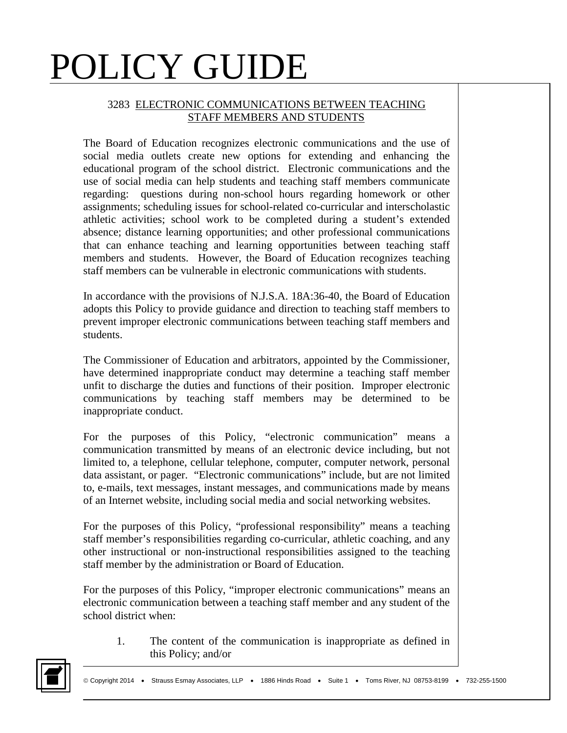#### 3283 ELECTRONIC COMMUNICATIONS BETWEEN TEACHING STAFF MEMBERS AND STUDENTS

The Board of Education recognizes electronic communications and the use of social media outlets create new options for extending and enhancing the educational program of the school district. Electronic communications and the use of social media can help students and teaching staff members communicate regarding: questions during non-school hours regarding homework or other assignments; scheduling issues for school-related co-curricular and interscholastic athletic activities; school work to be completed during a student's extended absence; distance learning opportunities; and other professional communications that can enhance teaching and learning opportunities between teaching staff members and students. However, the Board of Education recognizes teaching staff members can be vulnerable in electronic communications with students.

In accordance with the provisions of N.J.S.A. 18A:36-40, the Board of Education adopts this Policy to provide guidance and direction to teaching staff members to prevent improper electronic communications between teaching staff members and students.

The Commissioner of Education and arbitrators, appointed by the Commissioner, have determined inappropriate conduct may determine a teaching staff member unfit to discharge the duties and functions of their position. Improper electronic communications by teaching staff members may be determined to be inappropriate conduct.

For the purposes of this Policy, "electronic communication" means a communication transmitted by means of an electronic device including, but not limited to, a telephone, cellular telephone, computer, computer network, personal data assistant, or pager. "Electronic communications" include, but are not limited to, e-mails, text messages, instant messages, and communications made by means of an Internet website, including social media and social networking websites.

For the purposes of this Policy, "professional responsibility" means a teaching staff member's responsibilities regarding co-curricular, athletic coaching, and any other instructional or non-instructional responsibilities assigned to the teaching staff member by the administration or Board of Education.

For the purposes of this Policy, "improper electronic communications" means an electronic communication between a teaching staff member and any student of the school district when:

1. The content of the communication is inappropriate as defined in this Policy; and/or

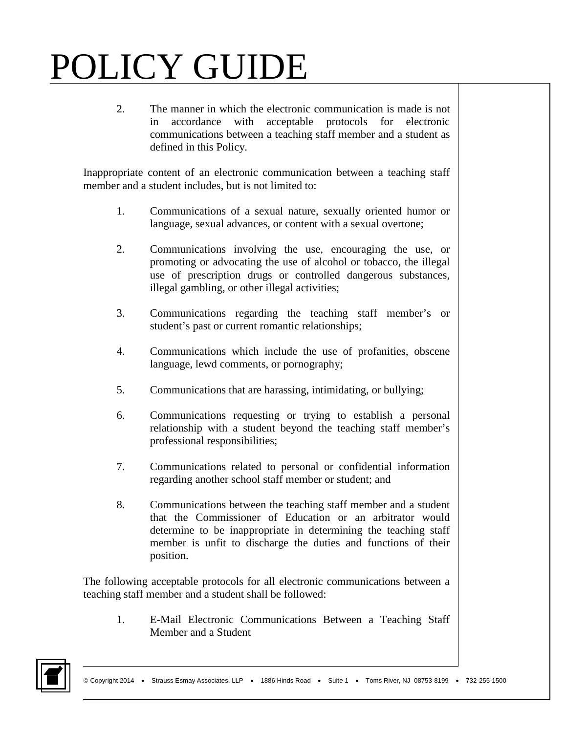2. The manner in which the electronic communication is made is not in accordance with acceptable protocols for electronic communications between a teaching staff member and a student as defined in this Policy.

Inappropriate content of an electronic communication between a teaching staff member and a student includes, but is not limited to:

- 1. Communications of a sexual nature, sexually oriented humor or language, sexual advances, or content with a sexual overtone;
- 2. Communications involving the use, encouraging the use, or promoting or advocating the use of alcohol or tobacco, the illegal use of prescription drugs or controlled dangerous substances, illegal gambling, or other illegal activities;
- 3. Communications regarding the teaching staff member's or student's past or current romantic relationships;
- 4. Communications which include the use of profanities, obscene language, lewd comments, or pornography;
- 5. Communications that are harassing, intimidating, or bullying;
- 6. Communications requesting or trying to establish a personal relationship with a student beyond the teaching staff member's professional responsibilities;
- 7. Communications related to personal or confidential information regarding another school staff member or student; and
- 8. Communications between the teaching staff member and a student that the Commissioner of Education or an arbitrator would determine to be inappropriate in determining the teaching staff member is unfit to discharge the duties and functions of their position.

The following acceptable protocols for all electronic communications between a teaching staff member and a student shall be followed:

1. E-Mail Electronic Communications Between a Teaching Staff Member and a Student

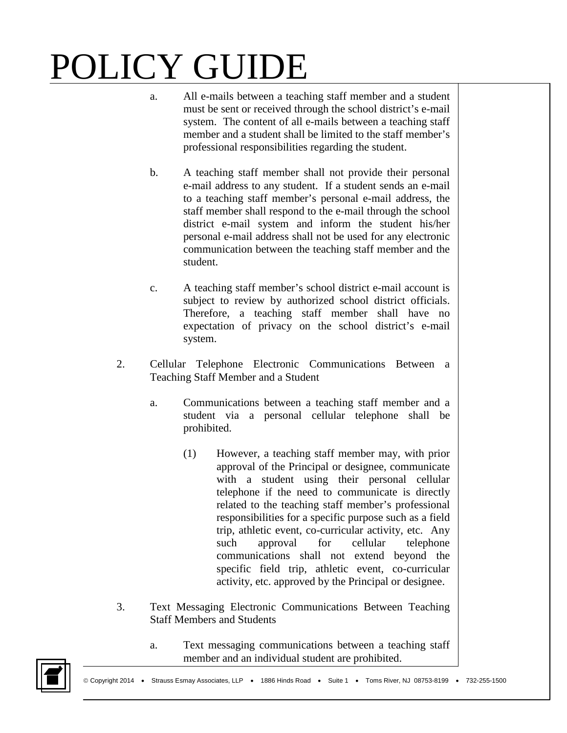- a. All e-mails between a teaching staff member and a student must be sent or received through the school district's e-mail system. The content of all e-mails between a teaching staff member and a student shall be limited to the staff member's professional responsibilities regarding the student.
- b. A teaching staff member shall not provide their personal e-mail address to any student. If a student sends an e-mail to a teaching staff member's personal e-mail address, the staff member shall respond to the e-mail through the school district e-mail system and inform the student his/her personal e-mail address shall not be used for any electronic communication between the teaching staff member and the student.
- c. A teaching staff member's school district e-mail account is subject to review by authorized school district officials. Therefore, a teaching staff member shall have no expectation of privacy on the school district's e-mail system.
- 2. Cellular Telephone Electronic Communications Between a Teaching Staff Member and a Student
	- a. Communications between a teaching staff member and a student via a personal cellular telephone shall be prohibited.
		- (1) However, a teaching staff member may, with prior approval of the Principal or designee, communicate with a student using their personal cellular telephone if the need to communicate is directly related to the teaching staff member's professional responsibilities for a specific purpose such as a field trip, athletic event, co-curricular activity, etc. Any such approval for cellular telephone communications shall not extend beyond the specific field trip, athletic event, co-curricular activity, etc. approved by the Principal or designee.
- 3. Text Messaging Electronic Communications Between Teaching Staff Members and Students
	- a. Text messaging communications between a teaching staff member and an individual student are prohibited.

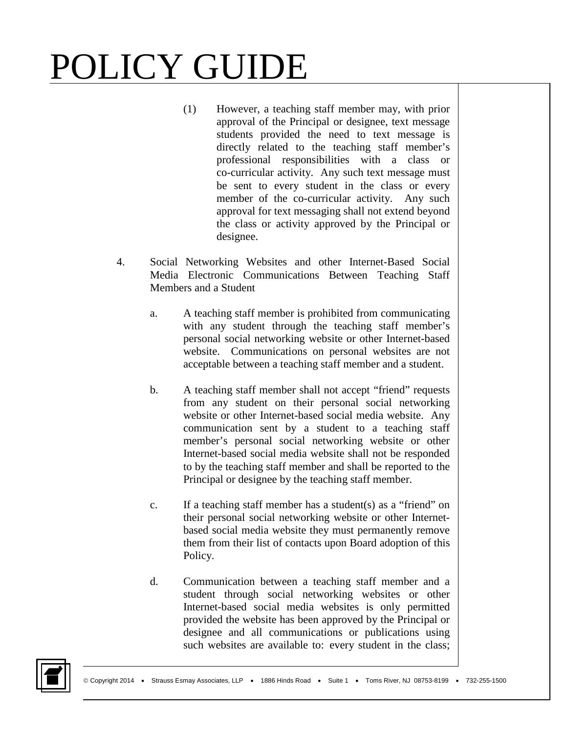- (1) However, a teaching staff member may, with prior approval of the Principal or designee, text message students provided the need to text message is directly related to the teaching staff member's professional responsibilities with a class or co-curricular activity. Any such text message must be sent to every student in the class or every member of the co-curricular activity. Any such approval for text messaging shall not extend beyond the class or activity approved by the Principal or designee.
- 4. Social Networking Websites and other Internet-Based Social Media Electronic Communications Between Teaching Staff Members and a Student
	- a. A teaching staff member is prohibited from communicating with any student through the teaching staff member's personal social networking website or other Internet-based website. Communications on personal websites are not acceptable between a teaching staff member and a student.
	- b. A teaching staff member shall not accept "friend" requests from any student on their personal social networking website or other Internet-based social media website. Any communication sent by a student to a teaching staff member's personal social networking website or other Internet-based social media website shall not be responded to by the teaching staff member and shall be reported to the Principal or designee by the teaching staff member.
	- c. If a teaching staff member has a student(s) as a "friend" on their personal social networking website or other Internetbased social media website they must permanently remove them from their list of contacts upon Board adoption of this Policy.
	- d. Communication between a teaching staff member and a student through social networking websites or other Internet-based social media websites is only permitted provided the website has been approved by the Principal or designee and all communications or publications using such websites are available to: every student in the class;